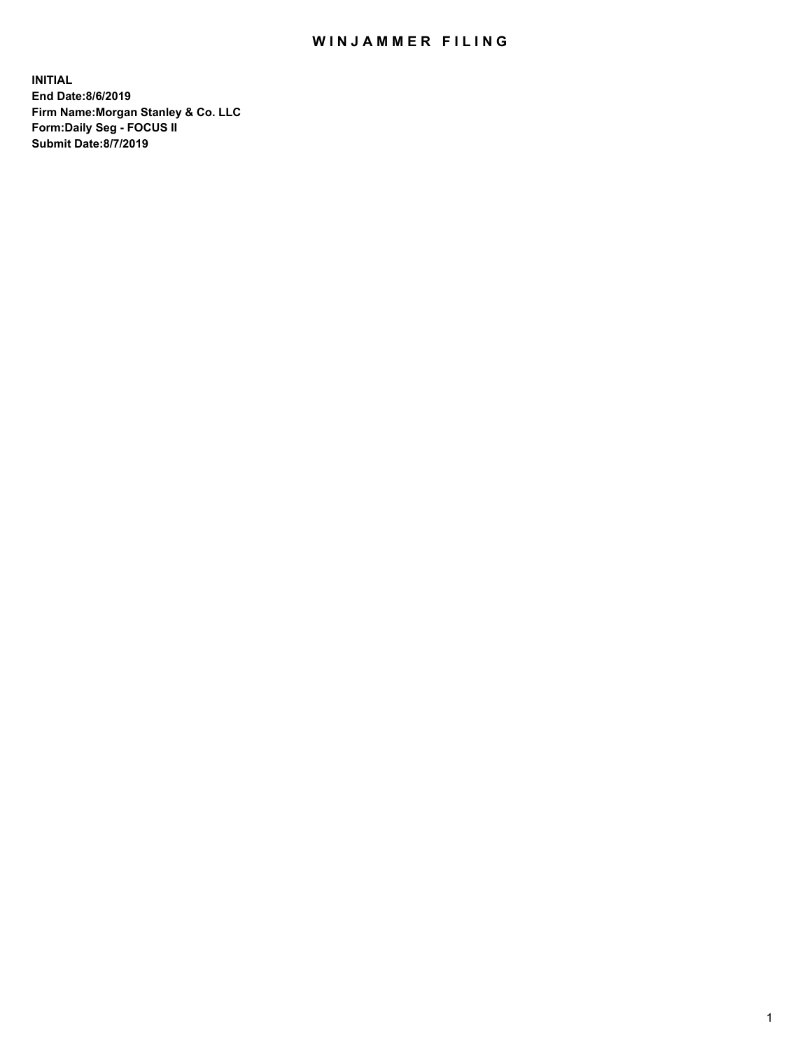## WIN JAMMER FILING

**INITIAL End Date:8/6/2019 Firm Name:Morgan Stanley & Co. LLC Form:Daily Seg - FOCUS II Submit Date:8/7/2019**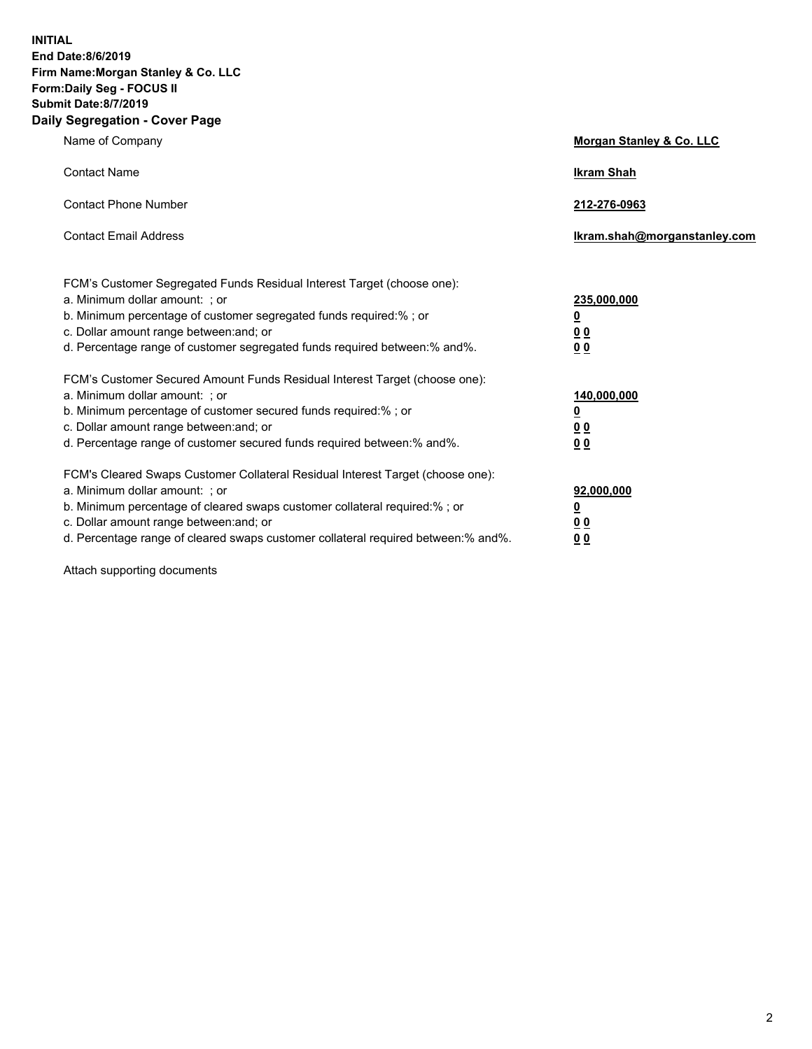**INITIAL End Date:8/6/2019 Firm Name:Morgan Stanley & Co. LLC Form:Daily Seg - FOCUS II Submit Date:8/7/2019 Daily Segregation - Cover Page**

| Name of Company                                                                                                                                                                                                                                                                                                                | Morgan Stanley & Co. LLC                                    |
|--------------------------------------------------------------------------------------------------------------------------------------------------------------------------------------------------------------------------------------------------------------------------------------------------------------------------------|-------------------------------------------------------------|
| <b>Contact Name</b>                                                                                                                                                                                                                                                                                                            | <b>Ikram Shah</b>                                           |
| <b>Contact Phone Number</b>                                                                                                                                                                                                                                                                                                    | 212-276-0963                                                |
| <b>Contact Email Address</b>                                                                                                                                                                                                                                                                                                   | Ikram.shah@morganstanley.com                                |
| FCM's Customer Segregated Funds Residual Interest Target (choose one):<br>a. Minimum dollar amount: ; or<br>b. Minimum percentage of customer segregated funds required:% ; or<br>c. Dollar amount range between: and; or<br>d. Percentage range of customer segregated funds required between:% and%.                         | 235,000,000<br><u>0</u><br>0 <sub>0</sub><br>00             |
| FCM's Customer Secured Amount Funds Residual Interest Target (choose one):<br>a. Minimum dollar amount: ; or<br>b. Minimum percentage of customer secured funds required:% ; or<br>c. Dollar amount range between: and; or<br>d. Percentage range of customer secured funds required between:% and%.                           | 140,000,000<br><u>0</u><br>0 <sub>0</sub><br>0 <sub>0</sub> |
| FCM's Cleared Swaps Customer Collateral Residual Interest Target (choose one):<br>a. Minimum dollar amount: ; or<br>b. Minimum percentage of cleared swaps customer collateral required:% ; or<br>c. Dollar amount range between: and; or<br>d. Percentage range of cleared swaps customer collateral required between:% and%. | 92,000,000<br><u>0</u><br>0 Q<br>0 <sub>0</sub>             |

Attach supporting documents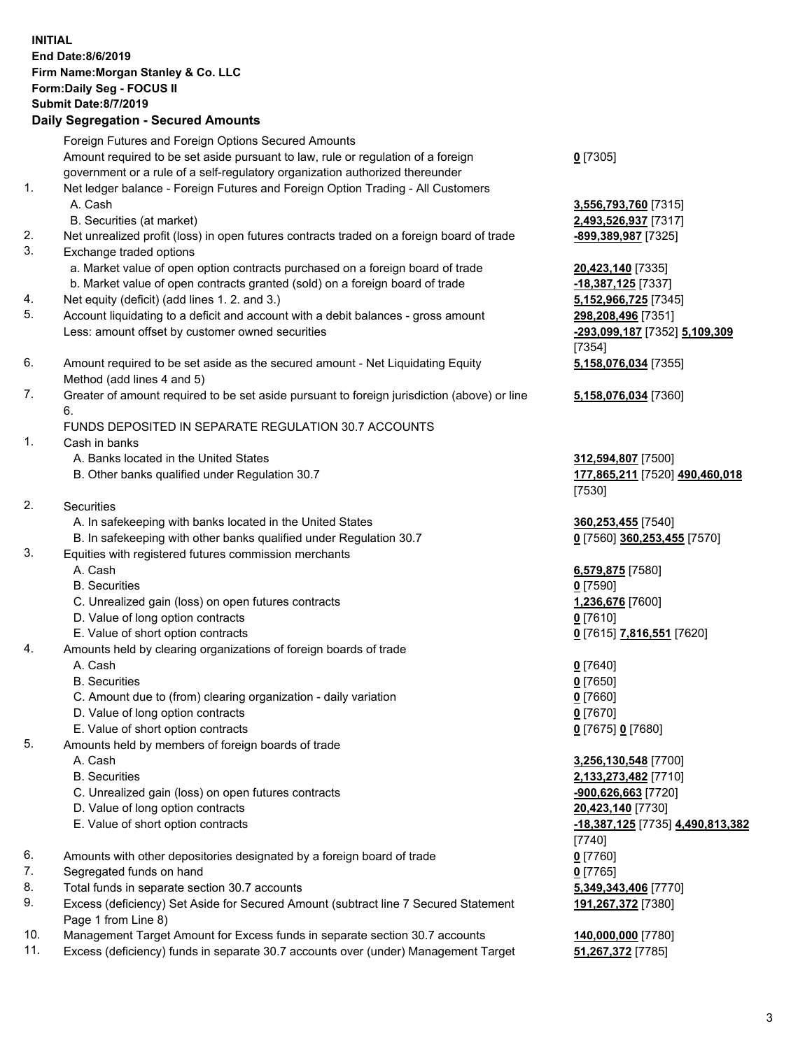| <b>INITIAL</b> | End Date: 8/6/2019<br>Firm Name: Morgan Stanley & Co. LLC<br>Form: Daily Seg - FOCUS II<br><b>Submit Date: 8/7/2019</b><br><b>Daily Segregation - Secured Amounts</b>                 |                                                                             |
|----------------|---------------------------------------------------------------------------------------------------------------------------------------------------------------------------------------|-----------------------------------------------------------------------------|
|                | Foreign Futures and Foreign Options Secured Amounts<br>Amount required to be set aside pursuant to law, rule or regulation of a foreign                                               | $0$ [7305]                                                                  |
| 1.             | government or a rule of a self-regulatory organization authorized thereunder<br>Net ledger balance - Foreign Futures and Foreign Option Trading - All Customers<br>A. Cash            | 3,556,793,760 [7315]                                                        |
|                | B. Securities (at market)                                                                                                                                                             | 2,493,526,937 [7317]                                                        |
| 2.<br>3.       | Net unrealized profit (loss) in open futures contracts traded on a foreign board of trade<br>Exchange traded options                                                                  | -899,389,987 [7325]                                                         |
|                | a. Market value of open option contracts purchased on a foreign board of trade<br>b. Market value of open contracts granted (sold) on a foreign board of trade                        | 20,423,140 [7335]<br>-18,387,125 [7337]                                     |
| 4.<br>5.       | Net equity (deficit) (add lines 1.2. and 3.)<br>Account liquidating to a deficit and account with a debit balances - gross amount<br>Less: amount offset by customer owned securities | 5,152,966,725 [7345]<br>298,208,496 [7351]<br>-293,099,187 [7352] 5,109,309 |
| 6.             | Amount required to be set aside as the secured amount - Net Liquidating Equity<br>Method (add lines 4 and 5)                                                                          | [7354]<br>5,158,076,034 [7355]                                              |
| 7.             | Greater of amount required to be set aside pursuant to foreign jurisdiction (above) or line<br>6.                                                                                     | 5,158,076,034 [7360]                                                        |
| 1.             | FUNDS DEPOSITED IN SEPARATE REGULATION 30.7 ACCOUNTS<br>Cash in banks                                                                                                                 |                                                                             |
|                | A. Banks located in the United States<br>B. Other banks qualified under Regulation 30.7                                                                                               | 312,594,807 [7500]<br>177,865,211 [7520] 490,460,018<br>[7530]              |
| 2.             | Securities                                                                                                                                                                            |                                                                             |
|                | A. In safekeeping with banks located in the United States<br>B. In safekeeping with other banks qualified under Regulation 30.7                                                       | 360,253,455 [7540]<br>0 [7560] 360,253,455 [7570]                           |
| 3.             | Equities with registered futures commission merchants<br>A. Cash                                                                                                                      | 6,579,875 [7580]                                                            |
|                | <b>B.</b> Securities                                                                                                                                                                  | $0$ [7590]                                                                  |
|                | C. Unrealized gain (loss) on open futures contracts                                                                                                                                   | 1,236,676 [7600]                                                            |
|                | D. Value of long option contracts                                                                                                                                                     | $0$ [7610]                                                                  |
|                | E. Value of short option contracts                                                                                                                                                    | 0 [7615] 7,816,551 [7620]                                                   |
| 4.             | Amounts held by clearing organizations of foreign boards of trade                                                                                                                     |                                                                             |
|                | A. Cash<br><b>B.</b> Securities                                                                                                                                                       | $0$ [7640]<br>$0$ [7650]                                                    |
|                | C. Amount due to (from) clearing organization - daily variation                                                                                                                       | $0$ [7660]                                                                  |
|                | D. Value of long option contracts                                                                                                                                                     | $0$ [7670]                                                                  |
|                | E. Value of short option contracts                                                                                                                                                    | 0 [7675] 0 [7680]                                                           |
| 5.             | Amounts held by members of foreign boards of trade                                                                                                                                    |                                                                             |
|                | A. Cash                                                                                                                                                                               | 3,256,130,548 [7700]                                                        |
|                | <b>B.</b> Securities                                                                                                                                                                  | 2,133,273,482 [7710]                                                        |
|                | C. Unrealized gain (loss) on open futures contracts                                                                                                                                   | -900,626,663 [7720]                                                         |
|                | D. Value of long option contracts                                                                                                                                                     | 20,423,140 [7730]                                                           |
|                | E. Value of short option contracts                                                                                                                                                    | -18,387,125 [7735] 4,490,813,382<br>$[7740]$                                |
| 6.             | Amounts with other depositories designated by a foreign board of trade                                                                                                                | $0$ [7760]                                                                  |
| 7.             | Segregated funds on hand                                                                                                                                                              | $0$ [7765]                                                                  |
| 8.             | Total funds in separate section 30.7 accounts                                                                                                                                         | 5,349,343,406 [7770]                                                        |
| 9.             | Excess (deficiency) Set Aside for Secured Amount (subtract line 7 Secured Statement<br>Page 1 from Line 8)                                                                            | 191,267,372 [7380]                                                          |
| 10.<br>11.     | Management Target Amount for Excess funds in separate section 30.7 accounts<br>Excess (deficiency) funds in separate 30.7 accounts over (under) Management Target                     | 140,000,000 [7780]<br>51,267,372 [7785]                                     |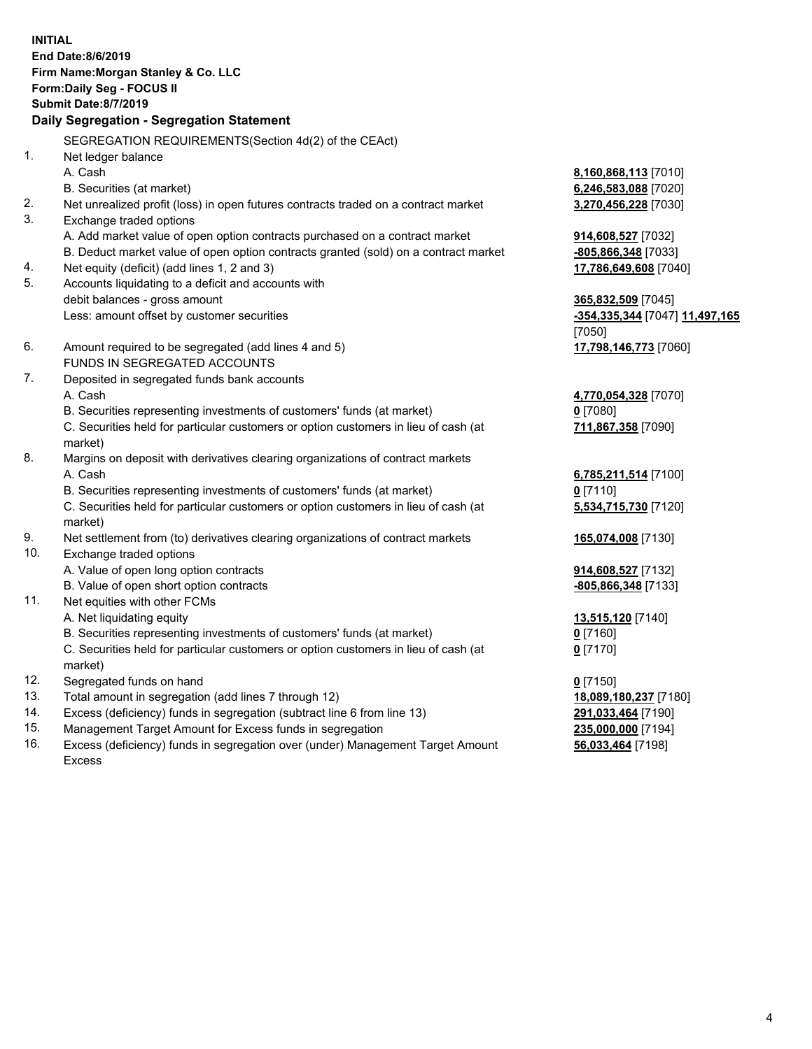|     | <b>INITIAL</b><br>End Date:8/6/2019<br>Firm Name: Morgan Stanley & Co. LLC<br>Form: Daily Seg - FOCUS II<br><b>Submit Date: 8/7/2019</b> |                                |
|-----|------------------------------------------------------------------------------------------------------------------------------------------|--------------------------------|
|     | Daily Segregation - Segregation Statement                                                                                                |                                |
|     | SEGREGATION REQUIREMENTS(Section 4d(2) of the CEAct)                                                                                     |                                |
| 1.  | Net ledger balance                                                                                                                       |                                |
|     | A. Cash                                                                                                                                  | 8,160,868,113 [7010]           |
|     | B. Securities (at market)                                                                                                                | 6,246,583,088 [7020]           |
| 2.  | Net unrealized profit (loss) in open futures contracts traded on a contract market                                                       | 3,270,456,228 [7030]           |
| 3.  | Exchange traded options                                                                                                                  |                                |
|     | A. Add market value of open option contracts purchased on a contract market                                                              | 914,608,527 [7032]             |
|     | B. Deduct market value of open option contracts granted (sold) on a contract market                                                      | -805,866,348 [7033]            |
| 4.  | Net equity (deficit) (add lines 1, 2 and 3)                                                                                              | 17,786,649,608 [7040]          |
| 5.  | Accounts liquidating to a deficit and accounts with                                                                                      |                                |
|     | debit balances - gross amount                                                                                                            | 365,832,509 [7045]             |
|     | Less: amount offset by customer securities                                                                                               | -354,335,344 [7047] 11,497,165 |
|     |                                                                                                                                          | [7050]                         |
| 6.  | Amount required to be segregated (add lines 4 and 5)                                                                                     | 17,798,146,773 [7060]          |
|     | FUNDS IN SEGREGATED ACCOUNTS                                                                                                             |                                |
| 7.  | Deposited in segregated funds bank accounts                                                                                              |                                |
|     | A. Cash                                                                                                                                  | 4,770,054,328 [7070]           |
|     | B. Securities representing investments of customers' funds (at market)                                                                   | 0 [7080]                       |
|     | C. Securities held for particular customers or option customers in lieu of cash (at<br>market)                                           | 711,867,358 [7090]             |
| 8.  | Margins on deposit with derivatives clearing organizations of contract markets                                                           |                                |
|     | A. Cash                                                                                                                                  | 6,785,211,514 [7100]           |
|     | B. Securities representing investments of customers' funds (at market)                                                                   | $0$ [7110]                     |
|     | C. Securities held for particular customers or option customers in lieu of cash (at<br>market)                                           | 5,534,715,730 [7120]           |
| 9.  | Net settlement from (to) derivatives clearing organizations of contract markets                                                          | 165,074,008 [7130]             |
| 10. | Exchange traded options                                                                                                                  |                                |
|     | A. Value of open long option contracts                                                                                                   | 914,608,527 [7132]             |
|     | B. Value of open short option contracts                                                                                                  | -805,866,348 [7133]            |
| 11. | Net equities with other FCMs                                                                                                             |                                |
|     | A. Net liquidating equity                                                                                                                | 13,515,120 [7140]              |
|     | B. Securities representing investments of customers' funds (at market)                                                                   | $0$ [7160]                     |
|     | C. Securities held for particular customers or option customers in lieu of cash (at                                                      | $0$ [7170]                     |
|     | market)                                                                                                                                  |                                |
| 12. | Segregated funds on hand                                                                                                                 | $0$ [7150]                     |
| 13. | Total amount in segregation (add lines 7 through 12)                                                                                     | 18,089,180,237 [7180]          |
| 14. | Excess (deficiency) funds in segregation (subtract line 6 from line 13)                                                                  | 291,033,464 [7190]             |
| 15  | Management Target Amount for Excess funds in segregation                                                                                 | 235 000 000 [7194]             |

15. Management Target Amount for Excess funds in segregation<br>16. Excess (deficiency) funds in segregation over (under) Manage Excess (deficiency) funds in segregation over (under) Management Target Amount Excess

**56,033,464** [7198]